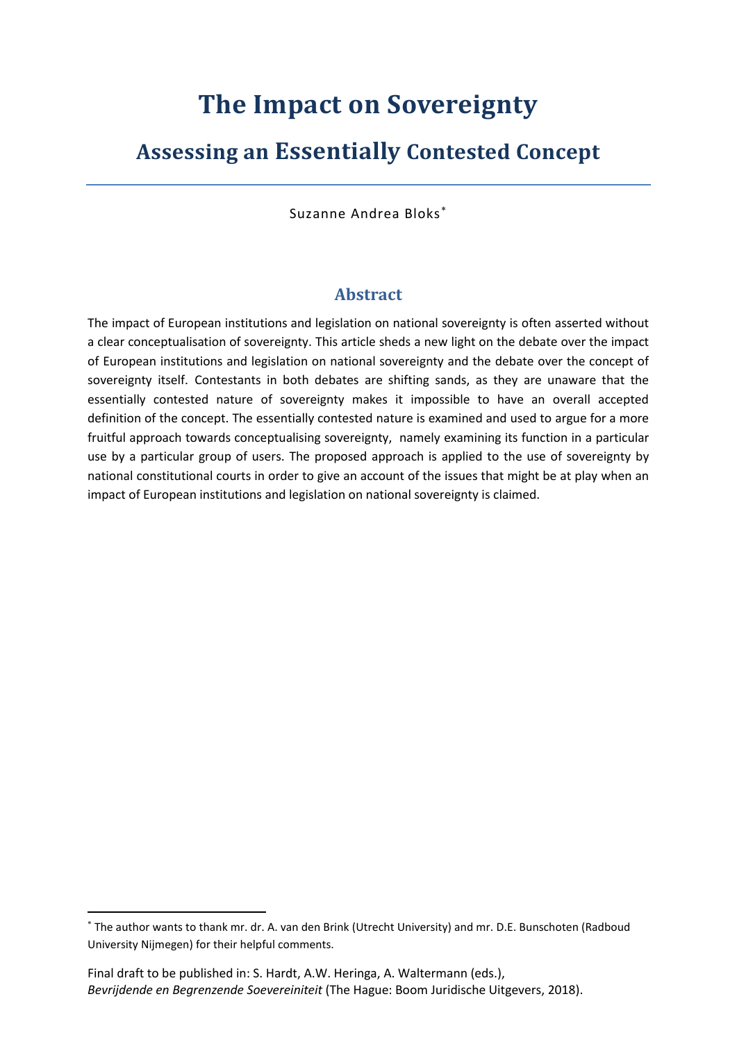# **The Impact on Sovereignty**

## **Assessing an Essentially Contested Concept**

Suzanne Andrea Bloks

## **Abstract**

The impact of European institutions and legislation on national sovereignty is often asserted without a clear conceptualisation of sovereignty. This article sheds a new light on the debate over the impact of European institutions and legislation on national sovereignty and the debate over the concept of sovereignty itself. Contestants in both debates are shifting sands, as they are unaware that the essentially contested nature of sovereignty makes it impossible to have an overall accepted definition of the concept. The essentially contested nature is examined and used to argue for a more fruitful approach towards conceptualising sovereignty, namely examining its function in a particular use by a particular group of users. The proposed approach is applied to the use of sovereignty by national constitutional courts in order to give an account of the issues that might be at play when an impact of European institutions and legislation on national sovereignty is claimed.

The author wants to thank mr. dr. A. van den Brink (Utrecht University) and mr. D.E. Bunschoten (Radboud University Nijmegen) for their helpful comments.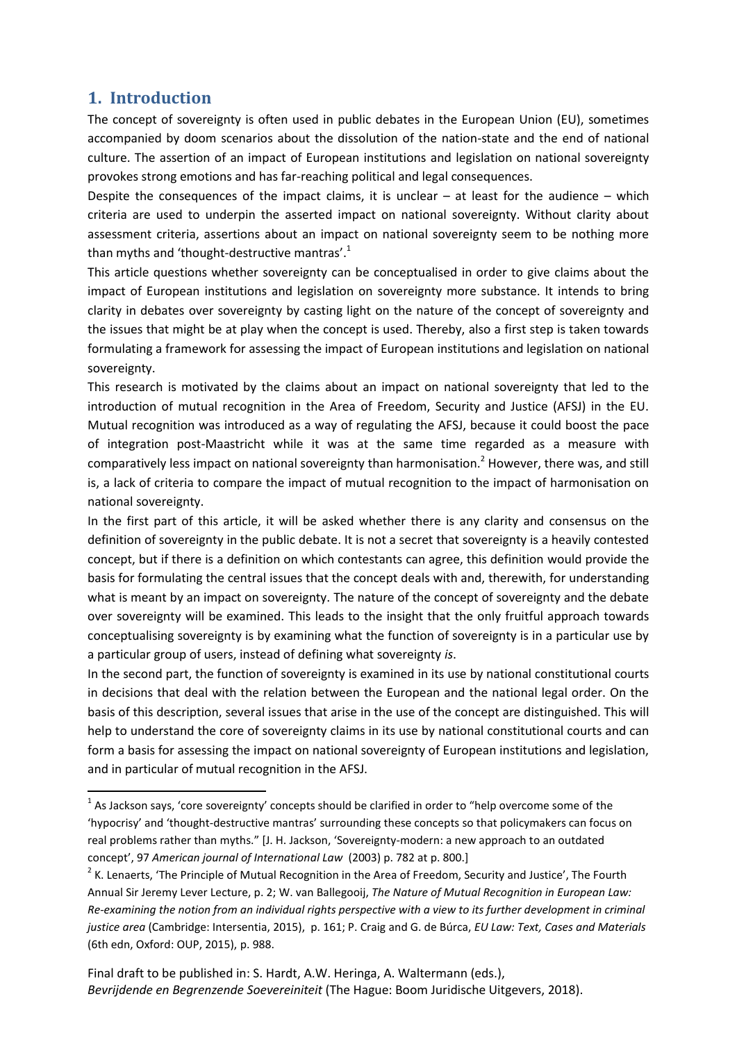## **1. Introduction**

 $\overline{\phantom{a}}$ 

The concept of sovereignty is often used in public debates in the European Union (EU), sometimes accompanied by doom scenarios about the dissolution of the nation-state and the end of national culture. The assertion of an impact of European institutions and legislation on national sovereignty provokes strong emotions and has far-reaching political and legal consequences.

Despite the consequences of the impact claims, it is unclear  $-$  at least for the audience  $-$  which criteria are used to underpin the asserted impact on national sovereignty. Without clarity about assessment criteria, assertions about an impact on national sovereignty seem to be nothing more than myths and 'thought-destructive mantras'.<sup>1</sup>

This article questions whether sovereignty can be conceptualised in order to give claims about the impact of European institutions and legislation on sovereignty more substance. It intends to bring clarity in debates over sovereignty by casting light on the nature of the concept of sovereignty and the issues that might be at play when the concept is used. Thereby, also a first step is taken towards formulating a framework for assessing the impact of European institutions and legislation on national sovereignty.

This research is motivated by the claims about an impact on national sovereignty that led to the introduction of mutual recognition in the Area of Freedom, Security and Justice (AFSJ) in the EU. Mutual recognition was introduced as a way of regulating the AFSJ, because it could boost the pace of integration post-Maastricht while it was at the same time regarded as a measure with comparatively less impact on national sovereignty than harmonisation.<sup>2</sup> However, there was, and still is, a lack of criteria to compare the impact of mutual recognition to the impact of harmonisation on national sovereignty.

<span id="page-1-0"></span>In the first part of this article, it will be asked whether there is any clarity and consensus on the definition of sovereignty in the public debate. It is not a secret that sovereignty is a heavily contested concept, but if there is a definition on which contestants can agree, this definition would provide the basis for formulating the central issues that the concept deals with and, therewith, for understanding what is meant by an impact on sovereignty. The nature of the concept of sovereignty and the debate over sovereignty will be examined. This leads to the insight that the only fruitful approach towards conceptualising sovereignty is by examining what the function of sovereignty is in a particular use by a particular group of users, instead of defining what sovereignty *is*.

In the second part, the function of sovereignty is examined in its use by national constitutional courts in decisions that deal with the relation between the European and the national legal order. On the basis of this description, several issues that arise in the use of the concept are distinguished. This will help to understand the core of sovereignty claims in its use by national constitutional courts and can form a basis for assessing the impact on national sovereignty of European institutions and legislation, and in particular of mutual recognition in the AFSJ.

 $<sup>1</sup>$  As Jackson says, 'core sovereignty' concepts should be clarified in order to "help overcome some of the</sup> 'hypocrisy' and 'thought-destructive mantras' surrounding these concepts so that policymakers can focus on real problems rather than myths." [J. H. Jackson, 'Sovereignty-modern: a new approach to an outdated concept', 97 *American journal of International Law* (2003) p. 782 at p. 800.]

 $2$  K. Lenaerts, 'The Principle of Mutual Recognition in the Area of Freedom, Security and Justice', The Fourth Annual Sir Jeremy Lever Lecture, p. 2; W. van Ballegooij, *The Nature of Mutual Recognition in European Law: Re-examining the notion from an individual rights perspective with a view to its further development in criminal justice area* (Cambridge: Intersentia, 2015), p. 161; P. Craig and G. de Búrca, *EU Law: Text, Cases and Materials* (6th edn, Oxford: OUP, 2015), p. 988.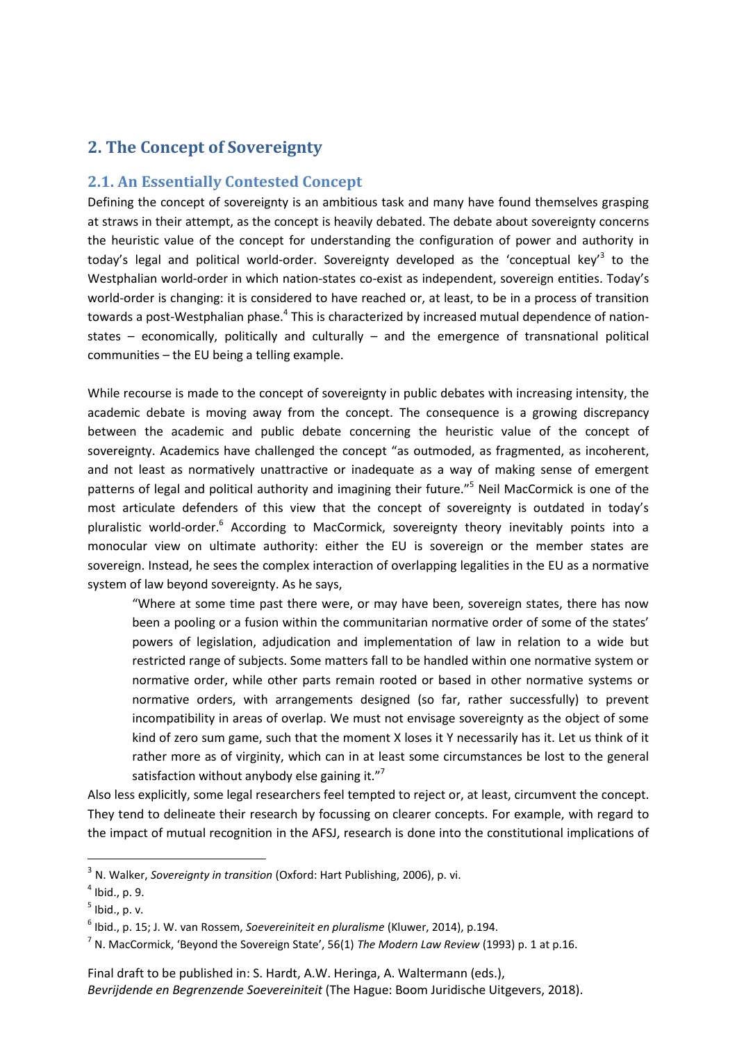## **2. The Concept of Sovereignty**

#### **2.1. An Essentially Contested Concept**

<span id="page-2-0"></span>Defining the concept of sovereignty is an ambitious task and many have found themselves grasping at straws in their attempt, as the concept is heavily debated. The debate about sovereignty concerns the heuristic value of the concept for understanding the configuration of power and authority in today's legal and political world-order. Sovereignty developed as the 'conceptual key'<sup>3</sup> to the Westphalian world-order in which nation-states co-exist as independent, sovereign entities. Today's world-order is changing: it is considered to have reached or, at least, to be in a process of transition towards a post-Westphalian phase.<sup>4</sup> This is characterized by increased mutual dependence of nationstates – economically, politically and culturally – and the emergence of transnational political communities – the EU being a telling example.

While recourse is made to the concept of sovereignty in public debates with increasing intensity, the academic debate is moving away from the concept. The consequence is a growing discrepancy between the academic and public debate concerning the heuristic value of the concept of sovereignty. Academics have challenged the concept "as outmoded, as fragmented, as incoherent, and not least as normatively unattractive or inadequate as a way of making sense of emergent patterns of legal and political authority and imagining their future."<sup>5</sup> Neil MacCormick is one of the most articulate defenders of this view that the concept of sovereignty is outdated in today's pluralistic world-order.<sup>6</sup> According to MacCormick, sovereignty theory inevitably points into a monocular view on ultimate authority: either the EU is sovereign or the member states are sovereign. Instead, he sees the complex interaction of overlapping legalities in the EU as a normative system of law beyond sovereignty. As he says,

<span id="page-2-1"></span>"Where at some time past there were, or may have been, sovereign states, there has now been a pooling or a fusion within the communitarian normative order of some of the states' powers of legislation, adjudication and implementation of law in relation to a wide but restricted range of subjects. Some matters fall to be handled within one normative system or normative order, while other parts remain rooted or based in other normative systems or normative orders, with arrangements designed (so far, rather successfully) to prevent incompatibility in areas of overlap. We must not envisage sovereignty as the object of some kind of zero sum game, such that the moment X loses it Y necessarily has it. Let us think of it rather more as of virginity, which can in at least some circumstances be lost to the general satisfaction without anybody else gaining it."<sup>7</sup>

Also less explicitly, some legal researchers feel tempted to reject or, at least, circumvent the concept. They tend to delineate their research by focussing on clearer concepts. For example, with regard to the impact of mutual recognition in the AFSJ, research is done into the constitutional implications of

<sup>3</sup> N. Walker, *Sovereignty in transition* (Oxford: Hart Publishing, 2006), p. vi.

 $<sup>4</sup>$  Ibid., p. 9.</sup>

<sup>5</sup> Ibid., p. v.

<sup>6</sup> Ibid., p. 15; J. W. van Rossem, *Soevereiniteit en pluralisme* (Kluwer, 2014), p.194.

<sup>7</sup> N. MacCormick, 'Beyond the Sovereign State', 56(1) *The Modern Law Review* (1993) p. 1 at p.16.

Final draft to be published in: S. Hardt, A.W. Heringa, A. Waltermann (eds.), *Bevrijdende en Begrenzende Soevereiniteit* (The Hague: Boom Juridische Uitgevers, 2018).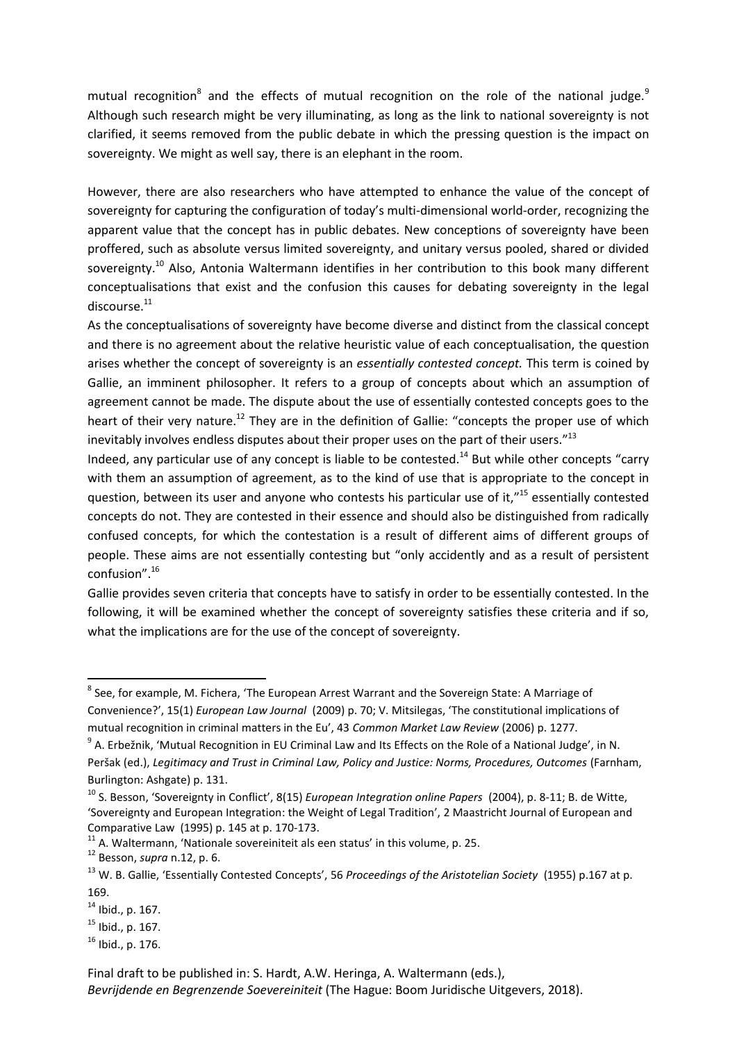mutual recognition<sup>8</sup> and the effects of mutual recognition on the role of the national judge.<sup>9</sup> Although such research might be very illuminating, as long as the link to national sovereignty is not clarified, it seems removed from the public debate in which the pressing question is the impact on sovereignty. We might as well say, there is an elephant in the room.

However, there are also researchers who have attempted to enhance the value of the concept of sovereignty for capturing the configuration of today's multi-dimensional world-order, recognizing the apparent value that the concept has in public debates. New conceptions of sovereignty have been proffered, such as absolute versus limited sovereignty, and unitary versus pooled, shared or divided sovereignty.<sup>10</sup> Also, Antonia Waltermann identifies in her contribution to this book many different conceptualisations that exist and the confusion this causes for debating sovereignty in the legal discourse. $^{11}$ 

<span id="page-3-2"></span>As the conceptualisations of sovereignty have become diverse and distinct from the classical concept and there is no agreement about the relative heuristic value of each conceptualisation, the question arises whether the concept of sovereignty is an *essentially contested concept.* This term is coined by Gallie, an imminent philosopher. It refers to a group of concepts about which an assumption of agreement cannot be made. The dispute about the use of essentially contested concepts goes to the heart of their very nature.<sup>12</sup> They are in the definition of Gallie: "concepts the proper use of which inevitably involves endless disputes about their proper uses on the part of their users."<sup>13</sup>

<span id="page-3-1"></span><span id="page-3-0"></span>Indeed, any particular use of any concept is liable to be contested.<sup>14</sup> But while other concepts "carry with them an assumption of agreement, as to the kind of use that is appropriate to the concept in question, between its user and anyone who contests his particular use of it,"<sup>15</sup> essentially contested concepts do not. They are contested in their essence and should also be distinguished from radically confused concepts, for which the contestation is a result of different aims of different groups of people. These aims are not essentially contesting but "only accidently and as a result of persistent confusion". 16

Gallie provides seven criteria that concepts have to satisfy in order to be essentially contested. In the following, it will be examined whether the concept of sovereignty satisfies these criteria and if so, what the implications are for the use of the concept of sovereignty.

 $^8$  See, for example, M. Fichera, 'The European Arrest Warrant and the Sovereign State: A Marriage of Convenience?', 15(1) *European Law Journal* (2009) p. 70; V. Mitsilegas, 'The constitutional implications of mutual recognition in criminal matters in the Eu', 43 *Common Market Law Review* (2006) p. 1277.

<sup>&</sup>lt;sup>9</sup> A. Erbežnik, 'Mutual Recognition in EU Criminal Law and Its Effects on the Role of a National Judge', in N. Peršak (ed.), *Legitimacy and Trust in Criminal Law, Policy and Justice: Norms, Procedures, Outcomes* (Farnham, Burlington: Ashgate) p. 131.

<sup>10</sup> S. Besson, 'Sovereignty in Conflict', 8(15) *European Integration online Papers* (2004), p. 8-11; B. de Witte, 'Sovereignty and European Integration: the Weight of Legal Tradition', 2 Maastricht Journal of European and Comparative Law (1995) p. 145 at p. 170-173.

 $11$  A. Waltermann, 'Nationale sovereiniteit als een status' in this volume, p. 25.

<sup>12</sup> Besson, *supra* n[.12,](#page-3-0) p. 6.

<sup>13</sup> W. B. Gallie, 'Essentially Contested Concepts', 56 *Proceedings of the Aristotelian Society* (1955) p.167 at p. 169.

 $14$  Ibid., p. 167.

 $15$  Ibid., p. 167.

 $16$  Ibid., p. 176.

Final draft to be published in: S. Hardt, A.W. Heringa, A. Waltermann (eds.),

*Bevrijdende en Begrenzende Soevereiniteit* (The Hague: Boom Juridische Uitgevers, 2018).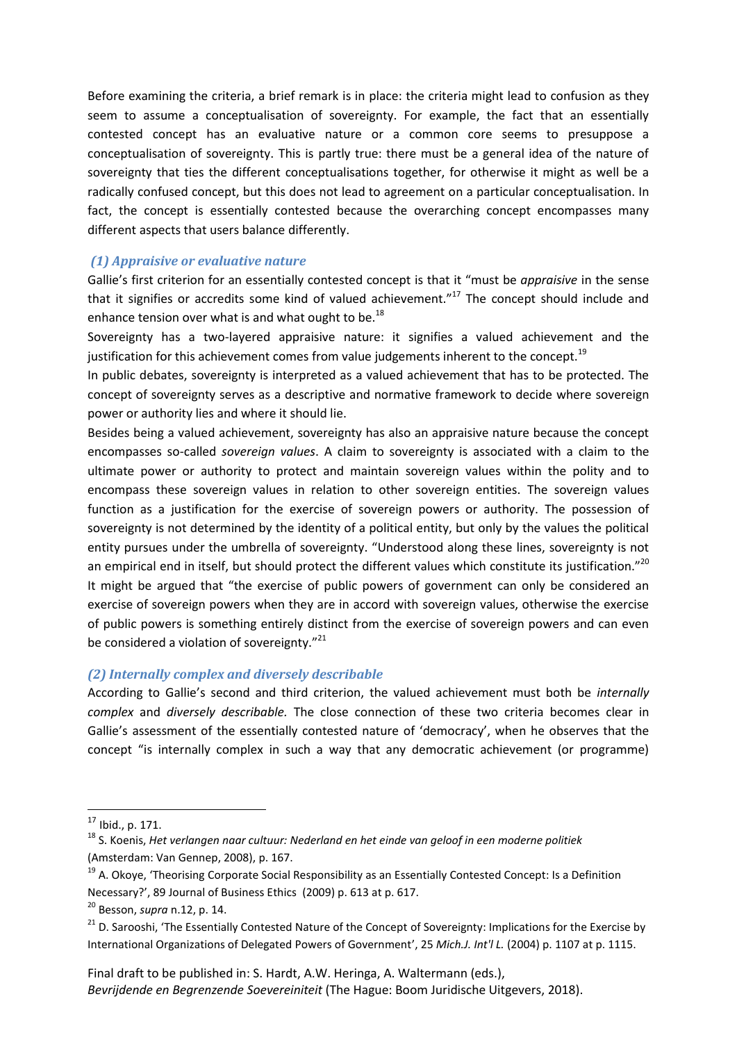Before examining the criteria, a brief remark is in place: the criteria might lead to confusion as they seem to assume a conceptualisation of sovereignty. For example, the fact that an essentially contested concept has an evaluative nature or a common core seems to presuppose a conceptualisation of sovereignty. This is partly true: there must be a general idea of the nature of sovereignty that ties the different conceptualisations together, for otherwise it might as well be a radically confused concept, but this does not lead to agreement on a particular conceptualisation. In fact, the concept is essentially contested because the overarching concept encompasses many different aspects that users balance differently.

#### *(1) Appraisive or evaluative nature*

Gallie's first criterion for an essentially contested concept is that it "must be *appraisive* in the sense that it signifies or accredits some kind of valued achievement." $17$  The concept should include and enhance tension over what is and what ought to be. $^{18}$ 

<span id="page-4-2"></span><span id="page-4-1"></span>Sovereignty has a two-layered appraisive nature: it signifies a valued achievement and the justification for this achievement comes from value judgements inherent to the concept.<sup>19</sup>

In public debates, sovereignty is interpreted as a valued achievement that has to be protected. The concept of sovereignty serves as a descriptive and normative framework to decide where sovereign power or authority lies and where it should lie.

Besides being a valued achievement, sovereignty has also an appraisive nature because the concept encompasses so-called *sovereign values*. A claim to sovereignty is associated with a claim to the ultimate power or authority to protect and maintain sovereign values within the polity and to encompass these sovereign values in relation to other sovereign entities. The sovereign values function as a justification for the exercise of sovereign powers or authority. The possession of sovereignty is not determined by the identity of a political entity, but only by the values the political entity pursues under the umbrella of sovereignty. "Understood along these lines, sovereignty is not an empirical end in itself, but should protect the different values which constitute its justification."<sup>20</sup> It might be argued that "the exercise of public powers of government can only be considered an exercise of sovereign powers when they are in accord with sovereign values, otherwise the exercise of public powers is something entirely distinct from the exercise of sovereign powers and can even be considered a violation of sovereignty. $"^{21}$ 

#### <span id="page-4-0"></span>*(2) Internally complex and diversely describable*

According to Gallie's second and third criterion, the valued achievement must both be *internally complex* and *diversely describable.* The close connection of these two criteria becomes clear in Gallie's assessment of the essentially contested nature of 'democracy', when he observes that the concept "is internally complex in such a way that any democratic achievement (or programme)

 $\overline{\phantom{a}}$ 

 $17$  Ibid., p. 171.

<sup>18</sup> S. Koenis, *Het verlangen naar cultuur: Nederland en het einde van geloof in een moderne politiek* (Amsterdam: Van Gennep, 2008), p. 167.

<sup>&</sup>lt;sup>19</sup> A. Okoye, 'Theorising Corporate Social Responsibility as an Essentially Contested Concept: Is a Definition Necessary?', 89 Journal of Business Ethics (2009) p. 613 at p. 617.

<sup>20</sup> Besson, *supra* n[.12,](#page-3-0) p. 14.

<sup>&</sup>lt;sup>21</sup> D. Sarooshi, 'The Essentially Contested Nature of the Concept of Sovereignty: Implications for the Exercise by International Organizations of Delegated Powers of Government', 25 *Mich.J. Int'l L.* (2004) p. 1107 at p. 1115.

Final draft to be published in: S. Hardt, A.W. Heringa, A. Waltermann (eds.), *Bevrijdende en Begrenzende Soevereiniteit* (The Hague: Boom Juridische Uitgevers, 2018).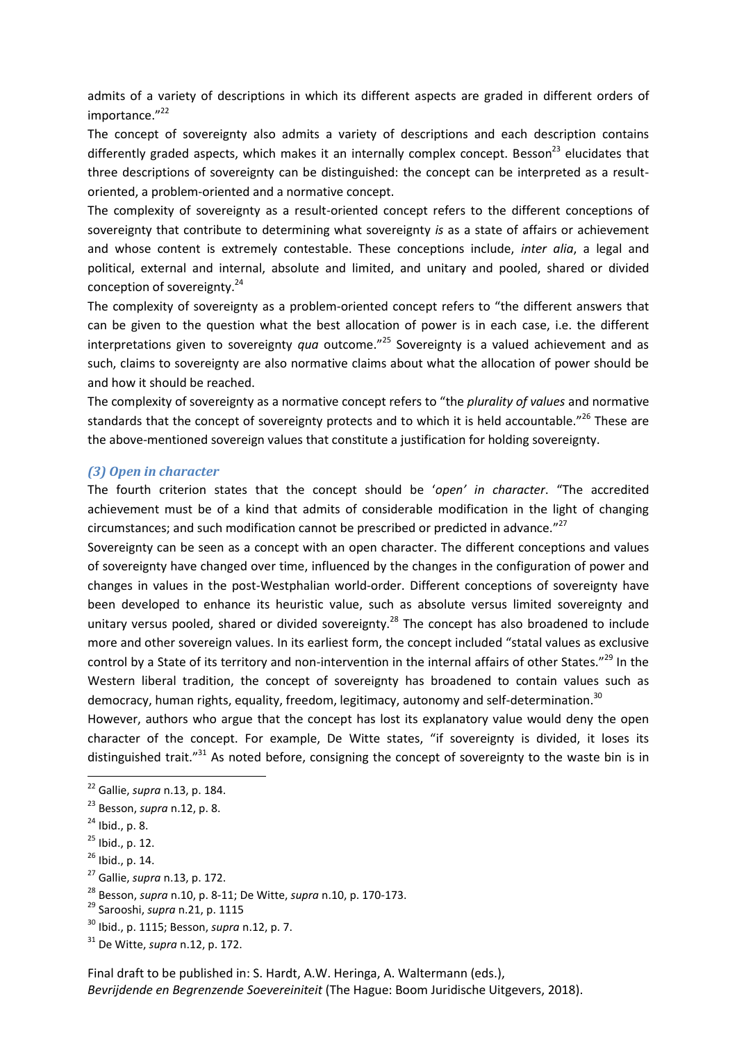admits of a variety of descriptions in which its different aspects are graded in different orders of importance."22

The concept of sovereignty also admits a variety of descriptions and each description contains differently graded aspects, which makes it an internally complex concept. Besson<sup>23</sup> elucidates that three descriptions of sovereignty can be distinguished: the concept can be interpreted as a resultoriented, a problem-oriented and a normative concept.

The complexity of sovereignty as a result-oriented concept refers to the different conceptions of sovereignty that contribute to determining what sovereignty *is* as a state of affairs or achievement and whose content is extremely contestable. These conceptions include, *inter alia*, a legal and political, external and internal, absolute and limited, and unitary and pooled, shared or divided conception of sovereignty.<sup>24</sup>

The complexity of sovereignty as a problem-oriented concept refers to "the different answers that can be given to the question what the best allocation of power is in each case, i.e. the different interpretations given to sovereignty *qua* outcome." <sup>25</sup> Sovereignty is a valued achievement and as such, claims to sovereignty are also normative claims about what the allocation of power should be and how it should be reached.

The complexity of sovereignty as a normative concept refers to "the *plurality of values* and normative standards that the concept of sovereignty protects and to which it is held accountable."<sup>26</sup> These are the above-mentioned sovereign values that constitute a justification for holding sovereignty.

#### *(3) Open in character*

The fourth criterion states that the concept should be '*open' in character*. "The accredited achievement must be of a kind that admits of considerable modification in the light of changing circumstances; and such modification cannot be prescribed or predicted in advance."<sup>27</sup>

Sovereignty can be seen as a concept with an open character. The different conceptions and values of sovereignty have changed over time, influenced by the changes in the configuration of power and changes in values in the post-Westphalian world-order. Different conceptions of sovereignty have been developed to enhance its heuristic value, such as absolute versus limited sovereignty and unitary versus pooled, shared or divided sovereignty.<sup>28</sup> The concept has also broadened to include more and other sovereign values. In its earliest form, the concept included "statal values as exclusive control by a State of its territory and non-intervention in the internal affairs of other States."<sup>29</sup> In the Western liberal tradition, the concept of sovereignty has broadened to contain values such as democracy, human rights, equality, freedom, legitimacy, autonomy and self-determination.<sup>30</sup>

However, authors who argue that the concept has lost its explanatory value would deny the open character of the concept. For example, De Witte states, "if sovereignty is divided, it loses its distinguished trait."<sup>31</sup> As noted before, consigning the concept of sovereignty to the waste bin is in

<sup>22</sup> Gallie, *supra* n[.13,](#page-3-1) p. 184.

<sup>23</sup> Besson, *supra* n[.12,](#page-3-0) p. 8.

 $24$  Ibid., p. 8.

 $25$  Ibid., p. 12.

 $26$  Ibid., p. 14.

<sup>27</sup> Gallie, *supra* n[.13,](#page-3-1) p. 172.

<sup>28</sup> Besson, *supra* n[.10,](#page-3-2) p. 8-11; De Witte, *supra* n[.10,](#page-3-2) p. 170-173.

<sup>29</sup> Sarooshi, *supra* n[.21,](#page-4-0) p. 1115

<sup>30</sup> Ibid., p. 1115; Besson, *supra* n[.12,](#page-3-0) p. 7.

<sup>31</sup> De Witte, *supra* n[.12,](#page-3-0) p. 172.

Final draft to be published in: S. Hardt, A.W. Heringa, A. Waltermann (eds.), *Bevrijdende en Begrenzende Soevereiniteit* (The Hague: Boom Juridische Uitgevers, 2018).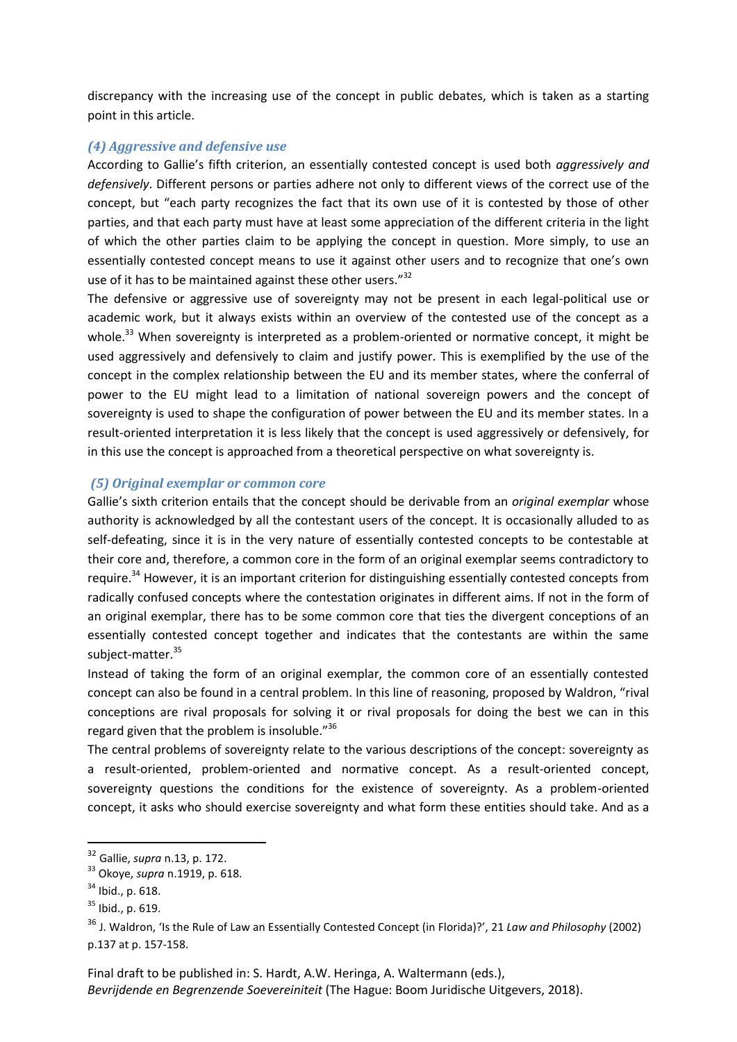discrepancy with the increasing use of the concept in public debates, which is taken as a starting point in this article.

#### *(4) Aggressive and defensive use*

According to Gallie's fifth criterion, an essentially contested concept is used both *aggressively and defensively*. Different persons or parties adhere not only to different views of the correct use of the concept, but "each party recognizes the fact that its own use of it is contested by those of other parties, and that each party must have at least some appreciation of the different criteria in the light of which the other parties claim to be applying the concept in question. More simply, to use an essentially contested concept means to use it against other users and to recognize that one's own use of it has to be maintained against these other users."<sup>32</sup>

The defensive or aggressive use of sovereignty may not be present in each legal-political use or academic work, but it always exists within an overview of the contested use of the concept as a whole.<sup>33</sup> When sovereignty is interpreted as a problem-oriented or normative concept, it might be used aggressively and defensively to claim and justify power. This is exemplified by the use of the concept in the complex relationship between the EU and its member states, where the conferral of power to the EU might lead to a limitation of national sovereign powers and the concept of sovereignty is used to shape the configuration of power between the EU and its member states. In a result-oriented interpretation it is less likely that the concept is used aggressively or defensively, for in this use the concept is approached from a theoretical perspective on what sovereignty is.

#### *(5) Original exemplar or common core*

Gallie's sixth criterion entails that the concept should be derivable from an *original exemplar* whose authority is acknowledged by all the contestant users of the concept. It is occasionally alluded to as self-defeating, since it is in the very nature of essentially contested concepts to be contestable at their core and, therefore, a common core in the form of an original exemplar seems contradictory to require.<sup>34</sup> However, it is an important criterion for distinguishing essentially contested concepts from radically confused concepts where the contestation originates in different aims. If not in the form of an original exemplar, there has to be some common core that ties the divergent conceptions of an essentially contested concept together and indicates that the contestants are within the same subject-matter.<sup>35</sup>

Instead of taking the form of an original exemplar, the common core of an essentially contested concept can also be found in a central problem. In this line of reasoning, proposed by Waldron, "rival conceptions are rival proposals for solving it or rival proposals for doing the best we can in this regard given that the problem is insoluble."<sup>36</sup>

The central problems of sovereignty relate to the various descriptions of the concept: sovereignty as a result-oriented, problem-oriented and normative concept. As a result-oriented concept, sovereignty questions the conditions for the existence of sovereignty. As a problem-oriented concept, it asks who should exercise sovereignty and what form these entities should take. And as a

1

<sup>32</sup> Gallie, *supra* n[.13,](#page-3-1) p. 172.

<sup>33</sup> Okoye, *supra* n[.1919,](#page-4-1) p. 618.

 $34$  Ibid., p. 618.

 $35$  Ibid., p. 619.

<sup>36</sup> J. Waldron, 'Is the Rule of Law an Essentially Contested Concept (in Florida)?', 21 *Law and Philosophy* (2002) p.137 at p. 157-158.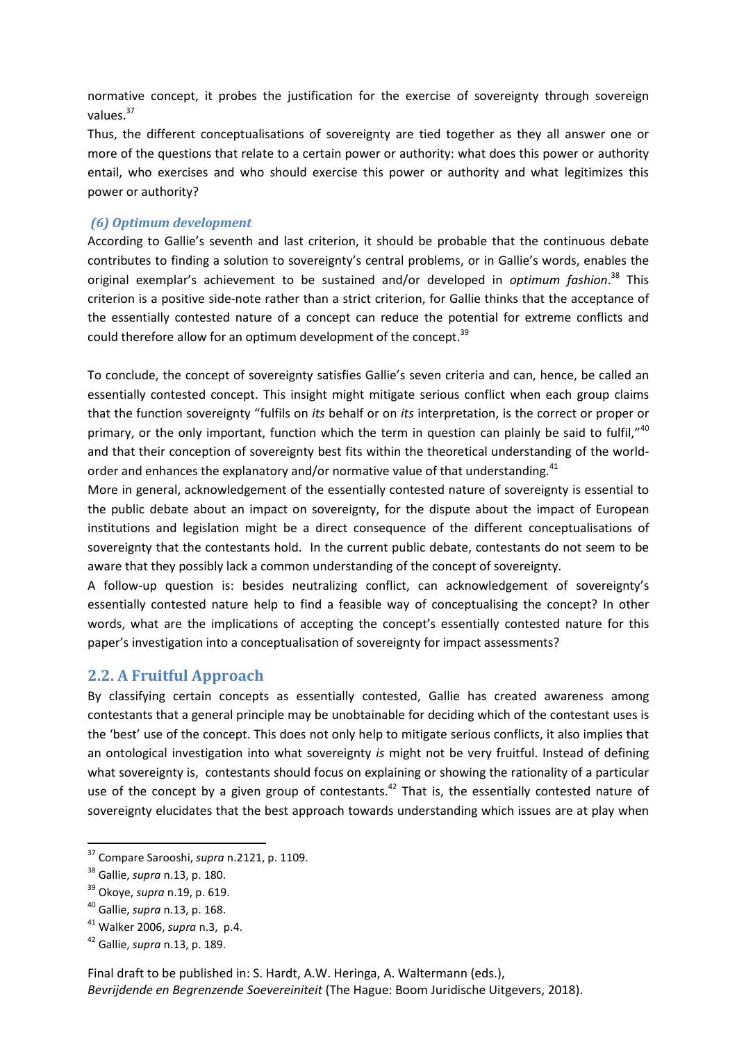normative concept, it probes the justification for the exercise of sovereignty through sovereign values.<sup>37</sup>

Thus, the different conceptualisations of sovereignty are tied together as they all answer one or more of the questions that relate to a certain power or authority: what does this power or authority entail, who exercises and who should exercise this power or authority and what legitimizes this power or authority?

#### *(6) Optimum development*

According to Gallie's seventh and last criterion, it should be probable that the continuous debate contributes to finding a solution to sovereignty's central problems, or in Gallie's words, enables the original exemplar's achievement to be sustained and/or developed in *optimum fashion*. <sup>38</sup> This criterion is a positive side-note rather than a strict criterion, for Gallie thinks that the acceptance of the essentially contested nature of a concept can reduce the potential for extreme conflicts and could therefore allow for an optimum development of the concept.<sup>39</sup>

To conclude, the concept of sovereignty satisfies Gallie's seven criteria and can, hence, be called an essentially contested concept. This insight might mitigate serious conflict when each group claims that the function sovereignty "fulfils on *its* behalf or on *its* interpretation, is the correct or proper or primary, or the only important, function which the term in question can plainly be said to fulfil," $40$ and that their conception of sovereignty best fits within the theoretical understanding of the worldorder and enhances the explanatory and/or normative value of that understanding.<sup>41</sup>

More in general, acknowledgement of the essentially contested nature of sovereignty is essential to the public debate about an impact on sovereignty, for the dispute about the impact of European institutions and legislation might be a direct consequence of the different conceptualisations of sovereignty that the contestants hold. In the current public debate, contestants do not seem to be aware that they possibly lack a common understanding of the concept of sovereignty.

A follow-up question is: besides neutralizing conflict, can acknowledgement of sovereignty's essentially contested nature help to find a feasible way of conceptualising the concept? In other words, what are the implications of accepting the concept's essentially contested nature for this paper's investigation into a conceptualisation of sovereignty for impact assessments?

#### **2.2. A Fruitful Approach**

By classifying certain concepts as essentially contested, Gallie has created awareness among contestants that a general principle may be unobtainable for deciding which of the contestant uses is the 'best' use of the concept. This does not only help to mitigate serious conflicts, it also implies that an ontological investigation into what sovereignty *is* might not be very fruitful. Instead of defining what sovereignty is, contestants should focus on explaining or showing the rationality of a particular use of the concept by a given group of contestants.<sup>42</sup> That is, the essentially contested nature of sovereignty elucidates that the best approach towards understanding which issues are at play when

<sup>37</sup> Compare Sarooshi, *supra* n[.2121,](#page-4-0) p. 1109.

<sup>38</sup> Gallie, *supra* n[.13,](#page-3-1) p. 180.

<sup>39</sup> Okoye, *supra* n[.19,](#page-4-1) p. 619.

<sup>40</sup> Gallie, *supra* n[.13,](#page-3-1) p. 168.

<sup>41</sup> Walker 2006, *supra* n[.3,](#page-2-0) p.4.

<sup>42</sup> Gallie, *supra* n[.13,](#page-3-1) p. 189.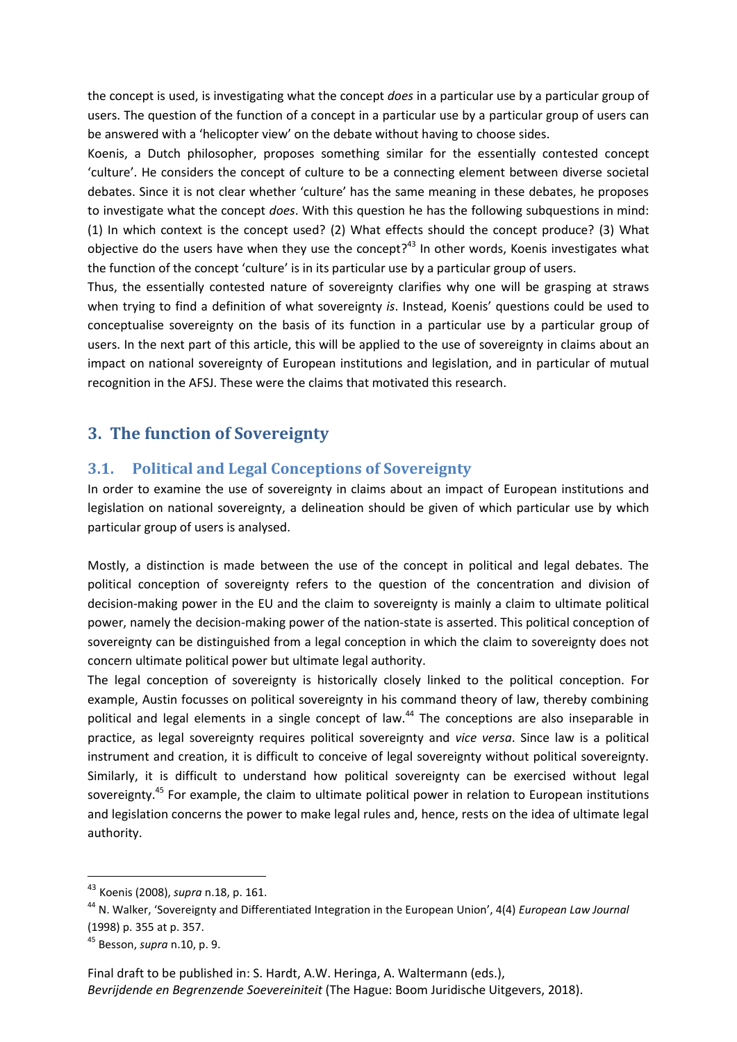the concept is used, is investigating what the concept *does* in a particular use by a particular group of users. The question of the function of a concept in a particular use by a particular group of users can be answered with a 'helicopter view' on the debate without having to choose sides.

Koenis, a Dutch philosopher, proposes something similar for the essentially contested concept 'culture'. He considers the concept of culture to be a connecting element between diverse societal debates. Since it is not clear whether 'culture' has the same meaning in these debates, he proposes to investigate what the concept *does*. With this question he has the following subquestions in mind: (1) In which context is the concept used? (2) What effects should the concept produce? (3) What objective do the users have when they use the concept?<sup>43</sup> In other words, Koenis investigates what the function of the concept 'culture' is in its particular use by a particular group of users.

Thus, the essentially contested nature of sovereignty clarifies why one will be grasping at straws when trying to find a definition of what sovereignty *is*. Instead, Koenis' questions could be used to conceptualise sovereignty on the basis of its function in a particular use by a particular group of users. In the next part of this article, this will be applied to the use of sovereignty in claims about an impact on national sovereignty of European institutions and legislation, and in particular of mutual recognition in the AFSJ. These were the claims that motivated this research.

## **3. The function of Sovereignty**

### **3.1. Political and Legal Conceptions of Sovereignty**

In order to examine the use of sovereignty in claims about an impact of European institutions and legislation on national sovereignty, a delineation should be given of which particular use by which particular group of users is analysed.

Mostly, a distinction is made between the use of the concept in political and legal debates. The political conception of sovereignty refers to the question of the concentration and division of decision-making power in the EU and the claim to sovereignty is mainly a claim to ultimate political power, namely the decision-making power of the nation-state is asserted. This political conception of sovereignty can be distinguished from a legal conception in which the claim to sovereignty does not concern ultimate political power but ultimate legal authority.

<span id="page-8-0"></span>The legal conception of sovereignty is historically closely linked to the political conception. For example, Austin focusses on political sovereignty in his command theory of law, thereby combining political and legal elements in a single concept of law.<sup>44</sup> The conceptions are also inseparable in practice, as legal sovereignty requires political sovereignty and *vice versa*. Since law is a political instrument and creation, it is difficult to conceive of legal sovereignty without political sovereignty. Similarly, it is difficult to understand how political sovereignty can be exercised without legal sovereignty.<sup>45</sup> For example, the claim to ultimate political power in relation to European institutions and legislation concerns the power to make legal rules and, hence, rests on the idea of ultimate legal authority.

1

<sup>43</sup> Koenis (2008), *supra* n[.18,](#page-4-2) p. 161.

<sup>44</sup> N. Walker, 'Sovereignty and Differentiated Integration in the European Union', 4(4) *European Law Journal* (1998) p. 355 at p. 357.

<sup>45</sup> Besson, *supra* n[.10,](#page-3-2) p. 9.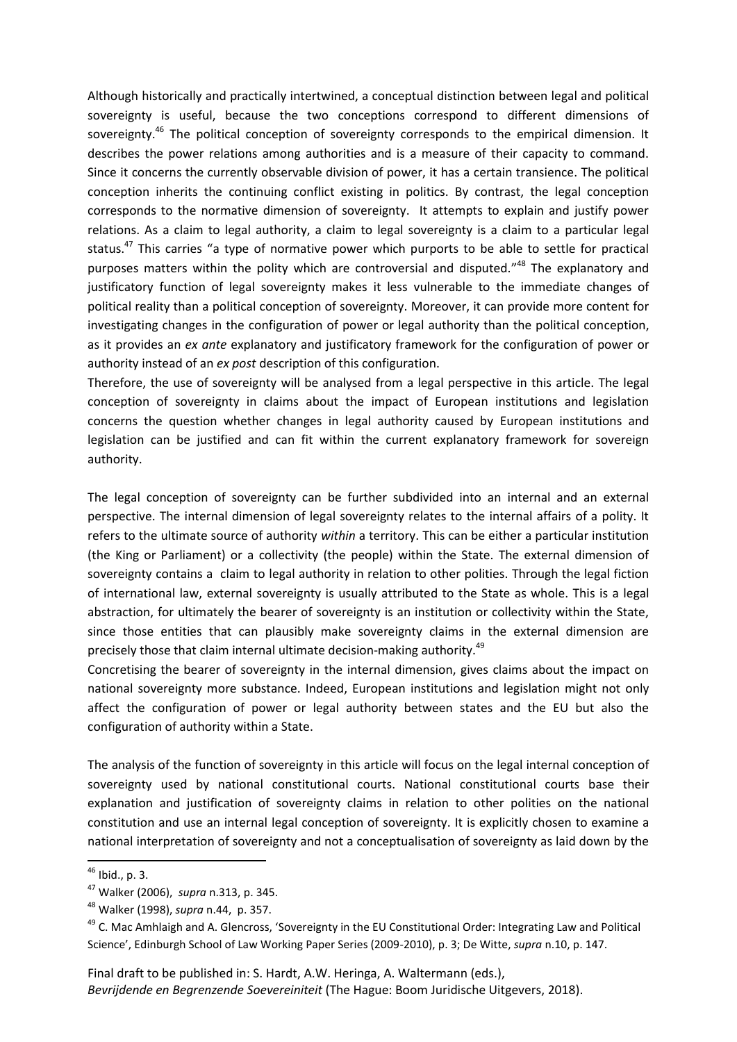Although historically and practically intertwined, a conceptual distinction between legal and political sovereignty is useful, because the two conceptions correspond to different dimensions of sovereignty.<sup>46</sup> The political conception of sovereignty corresponds to the empirical dimension. It describes the power relations among authorities and is a measure of their capacity to command. Since it concerns the currently observable division of power, it has a certain transience. The political conception inherits the continuing conflict existing in politics. By contrast, the legal conception corresponds to the normative dimension of sovereignty. It attempts to explain and justify power relations. As a claim to legal authority, a claim to legal sovereignty is a claim to a particular legal status. $47$  This carries "a type of normative power which purports to be able to settle for practical purposes matters within the polity which are controversial and disputed."<sup>48</sup> The explanatory and justificatory function of legal sovereignty makes it less vulnerable to the immediate changes of political reality than a political conception of sovereignty. Moreover, it can provide more content for investigating changes in the configuration of power or legal authority than the political conception, as it provides an *ex ante* explanatory and justificatory framework for the configuration of power or authority instead of an *ex post* description of this configuration.

Therefore, the use of sovereignty will be analysed from a legal perspective in this article. The legal conception of sovereignty in claims about the impact of European institutions and legislation concerns the question whether changes in legal authority caused by European institutions and legislation can be justified and can fit within the current explanatory framework for sovereign authority.

The legal conception of sovereignty can be further subdivided into an internal and an external perspective. The internal dimension of legal sovereignty relates to the internal affairs of a polity. It refers to the ultimate source of authority *within* a territory. This can be either a particular institution (the King or Parliament) or a collectivity (the people) within the State. The external dimension of sovereignty contains a claim to legal authority in relation to other polities. Through the legal fiction of international law, external sovereignty is usually attributed to the State as whole. This is a legal abstraction, for ultimately the bearer of sovereignty is an institution or collectivity within the State, since those entities that can plausibly make sovereignty claims in the external dimension are precisely those that claim internal ultimate decision-making authority.<sup>49</sup>

Concretising the bearer of sovereignty in the internal dimension, gives claims about the impact on national sovereignty more substance. Indeed, European institutions and legislation might not only affect the configuration of power or legal authority between states and the EU but also the configuration of authority within a State.

The analysis of the function of sovereignty in this article will focus on the legal internal conception of sovereignty used by national constitutional courts. National constitutional courts base their explanation and justification of sovereignty claims in relation to other polities on the national constitution and use an internal legal conception of sovereignty. It is explicitly chosen to examine a national interpretation of sovereignty and not a conceptualisation of sovereignty as laid down by the

1

<sup>&</sup>lt;sup>46</sup> Ibid., p. 3.

<sup>47</sup> Walker (2006), *supra* n[.313,](#page-2-0) p. 345.

<sup>48</sup> Walker (1998), *supra* n[.44,](#page-8-0) p. 357.

<sup>&</sup>lt;sup>49</sup> C. Mac Amhlaigh and A. Glencross, 'Sovereignty in the EU Constitutional Order: Integrating Law and Political Science', Edinburgh School of Law Working Paper Series (2009-2010), p. 3; De Witte, *supra* n[.10,](#page-3-2) p. 147.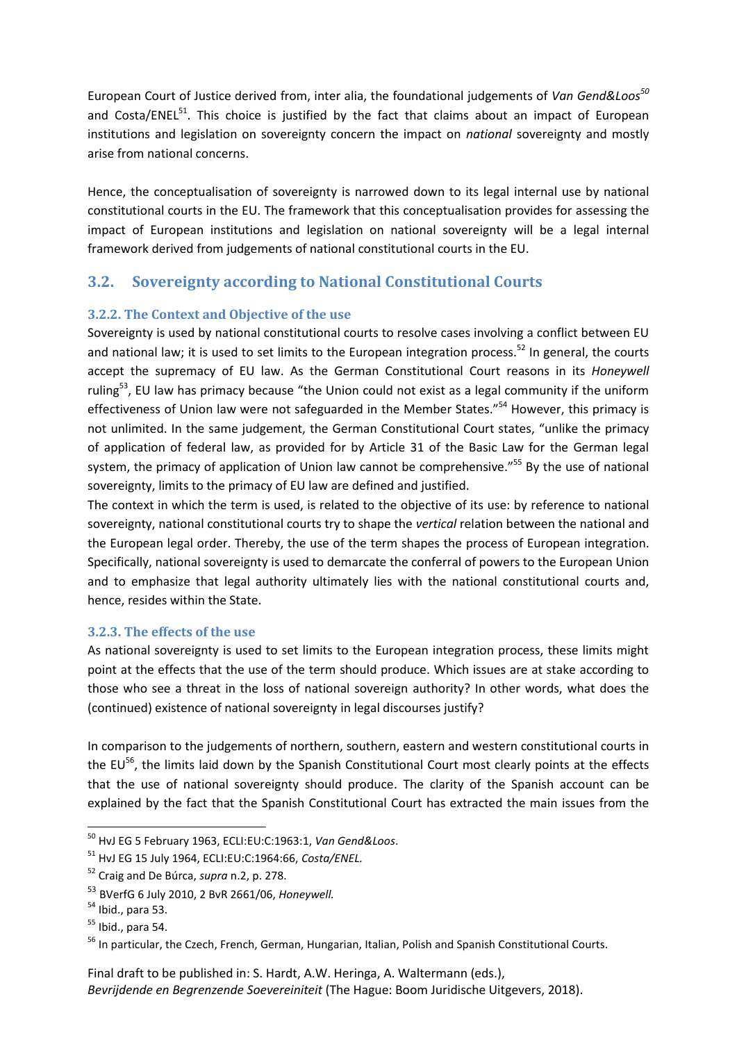European Court of Justice derived from, inter alia, the foundational judgements of *Van Gend&Loos<sup>50</sup>* and Costa/ENEL $^{51}$ . This choice is justified by the fact that claims about an impact of European institutions and legislation on sovereignty concern the impact on *national* sovereignty and mostly arise from national concerns.

Hence, the conceptualisation of sovereignty is narrowed down to its legal internal use by national constitutional courts in the EU. The framework that this conceptualisation provides for assessing the impact of European institutions and legislation on national sovereignty will be a legal internal framework derived from judgements of national constitutional courts in the EU.

## **3.2. Sovereignty according to National Constitutional Courts**

#### **3.2.2. The Context and Objective of the use**

Sovereignty is used by national constitutional courts to resolve cases involving a conflict between EU and national law; it is used to set limits to the European integration process.<sup>52</sup> In general, the courts accept the supremacy of EU law. As the German Constitutional Court reasons in its *Honeywell*  ruling<sup>53</sup>, EU law has primacy because "the Union could not exist as a legal community if the uniform effectiveness of Union law were not safeguarded in the Member States."<sup>54</sup> However, this primacy is not unlimited. In the same judgement, the German Constitutional Court states, "unlike the primacy of application of federal law, as provided for by Article 31 of the Basic Law for the German legal system, the primacy of application of Union law cannot be comprehensive."<sup>55</sup> By the use of national sovereignty, limits to the primacy of EU law are defined and justified.

The context in which the term is used, is related to the objective of its use: by reference to national sovereignty, national constitutional courts try to shape the *vertical* relation between the national and the European legal order. Thereby, the use of the term shapes the process of European integration. Specifically, national sovereignty is used to demarcate the conferral of powers to the European Union and to emphasize that legal authority ultimately lies with the national constitutional courts and, hence, resides within the State.

#### **3.2.3. The effects of the use**

As national sovereignty is used to set limits to the European integration process, these limits might point at the effects that the use of the term should produce. Which issues are at stake according to those who see a threat in the loss of national sovereign authority? In other words, what does the (continued) existence of national sovereignty in legal discourses justify?

In comparison to the judgements of northern, southern, eastern and western constitutional courts in the EU<sup>56</sup>, the limits laid down by the Spanish Constitutional Court most clearly points at the effects that the use of national sovereignty should produce. The clarity of the Spanish account can be explained by the fact that the Spanish Constitutional Court has extracted the main issues from the

<sup>50</sup> HvJ EG 5 February 1963, ECLI:EU:C:1963:1, *Van Gend&Loos*.

<sup>51</sup> HvJ EG 15 July 1964, ECLI:EU:C:1964:66, *Costa/ENEL.*

<sup>52</sup> Craig and De Búrca, *supra* n[.2,](#page-1-0) p. 278.

<sup>53</sup> BVerfG 6 July 2010, 2 BvR 2661/06, *Honeywell.*

 $54$  Ibid., para 53.

 $<sup>55</sup>$  Ibid., para 54.</sup>

<sup>&</sup>lt;sup>56</sup> In particular, the Czech, French, German, Hungarian, Italian, Polish and Spanish Constitutional Courts.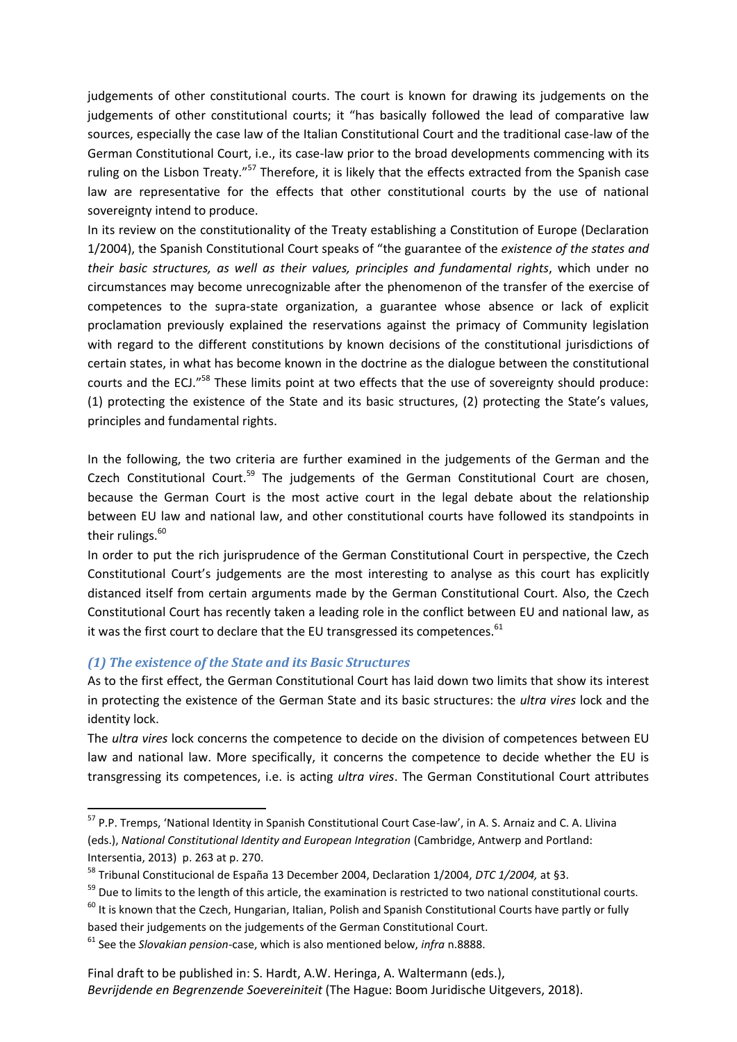judgements of other constitutional courts. The court is known for drawing its judgements on the judgements of other constitutional courts; it "has basically followed the lead of comparative law sources, especially the case law of the Italian Constitutional Court and the traditional case-law of the German Constitutional Court, i.e., its case-law prior to the broad developments commencing with its ruling on the Lisbon Treaty."<sup>57</sup> Therefore, it is likely that the effects extracted from the Spanish case law are representative for the effects that other constitutional courts by the use of national sovereignty intend to produce.

In its review on the constitutionality of the Treaty establishing a Constitution of Europe (Declaration 1/2004), the Spanish Constitutional Court speaks of "the guarantee of the *existence of the states and their basic structures, as well as their values, principles and fundamental rights*, which under no circumstances may become unrecognizable after the phenomenon of the transfer of the exercise of competences to the supra-state organization, a guarantee whose absence or lack of explicit proclamation previously explained the reservations against the primacy of Community legislation with regard to the different constitutions by known decisions of the constitutional jurisdictions of certain states, in what has become known in the doctrine as the dialogue between the constitutional courts and the ECJ."<sup>58</sup> These limits point at two effects that the use of sovereignty should produce: (1) protecting the existence of the State and its basic structures, (2) protecting the State's values, principles and fundamental rights.

In the following, the two criteria are further examined in the judgements of the German and the Czech Constitutional Court.<sup>59</sup> The judgements of the German Constitutional Court are chosen, because the German Court is the most active court in the legal debate about the relationship between EU law and national law, and other constitutional courts have followed its standpoints in their rulings. $60$ 

In order to put the rich jurisprudence of the German Constitutional Court in perspective, the Czech Constitutional Court's judgements are the most interesting to analyse as this court has explicitly distanced itself from certain arguments made by the German Constitutional Court. Also, the Czech Constitutional Court has recently taken a leading role in the conflict between EU and national law, as it was the first court to declare that the EU transgressed its competences.<sup>61</sup>

#### *(1) The existence of the State and its Basic Structures*

**.** 

As to the first effect, the German Constitutional Court has laid down two limits that show its interest in protecting the existence of the German State and its basic structures: the *ultra vires* lock and the identity lock.

The *ultra vires* lock concerns the competence to decide on the division of competences between EU law and national law. More specifically, it concerns the competence to decide whether the EU is transgressing its competences, i.e. is acting *ultra vires*. The German Constitutional Court attributes

<sup>57</sup> P.P. Tremps, 'National Identity in Spanish Constitutional Court Case-law', in A. S. Arnaiz and C. A. Llivina (eds.), *National Constitutional Identity and European Integration* (Cambridge, Antwerp and Portland: Intersentia, 2013) p. 263 at p. 270.

<sup>58</sup> Tribunal Constitucional de España 13 December 2004, Declaration 1/2004, *DTC 1/2004,* at §3.

<sup>&</sup>lt;sup>59</sup> Due to limits to the length of this article, the examination is restricted to two national constitutional courts.

 $60$  It is known that the Czech, Hungarian, Italian, Polish and Spanish Constitutional Courts have partly or fully

based their judgements on the judgements of the German Constitutional Court.

<sup>61</sup> See the *Slovakian pension*-case, which is also mentioned below, *infra* n[.8888.](#page-14-0)

Final draft to be published in: S. Hardt, A.W. Heringa, A. Waltermann (eds.), *Bevrijdende en Begrenzende Soevereiniteit* (The Hague: Boom Juridische Uitgevers, 2018).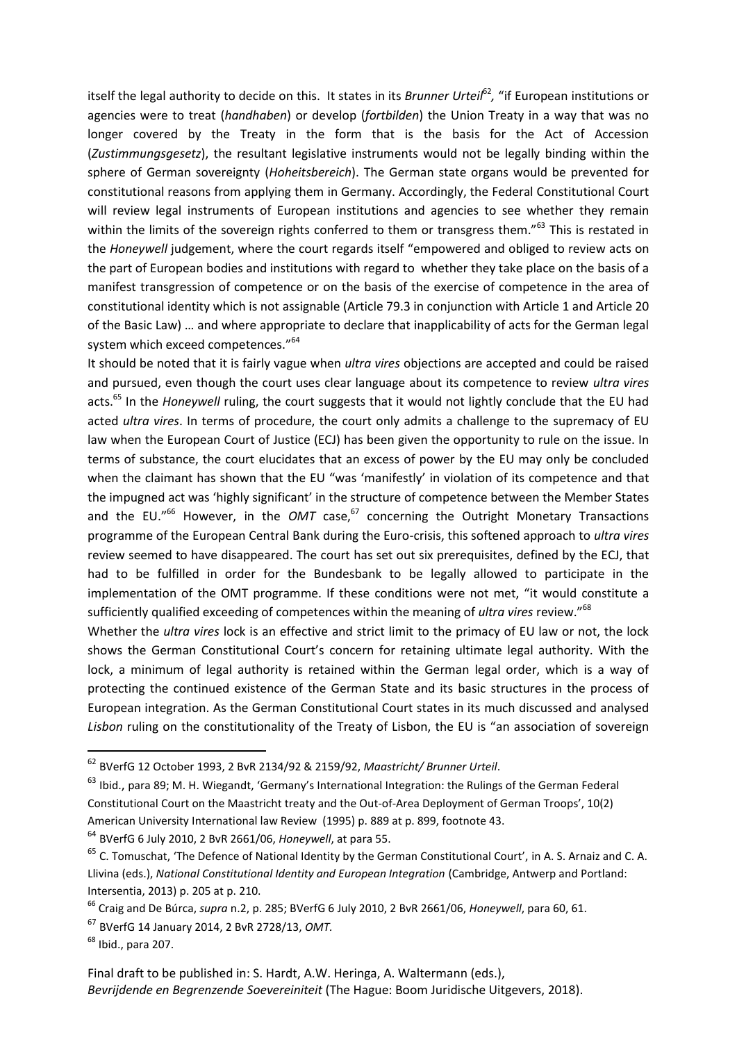itself the legal authority to decide on this. It states in its *Brunner Urteil<sup>62</sup>,* "if European institutions or agencies were to treat (*handhaben*) or develop (*fortbilden*) the Union Treaty in a way that was no longer covered by the Treaty in the form that is the basis for the Act of Accession (*Zustimmungsgesetz*), the resultant legislative instruments would not be legally binding within the sphere of German sovereignty (*Hoheitsbereich*). The German state organs would be prevented for constitutional reasons from applying them in Germany. Accordingly, the Federal Constitutional Court will review legal instruments of European institutions and agencies to see whether they remain within the limits of the sovereign rights conferred to them or transgress them."<sup>63</sup> This is restated in the *Honeywell* judgement, where the court regards itself "empowered and obliged to review acts on the part of European bodies and institutions with regard to whether they take place on the basis of a manifest transgression of competence or on the basis of the exercise of competence in the area of constitutional identity which is not assignable (Article 79.3 in conjunction with Article 1 and Article 20 of the Basic Law) … and where appropriate to declare that inapplicability of acts for the German legal system which exceed competences."<sup>64</sup>

<span id="page-12-0"></span>It should be noted that it is fairly vague when *ultra vires* objections are accepted and could be raised and pursued, even though the court uses clear language about its competence to review *ultra vires* acts.<sup>65</sup> In the *Honeywell* ruling, the court suggests that it would not lightly conclude that the EU had acted *ultra vires*. In terms of procedure, the court only admits a challenge to the supremacy of EU law when the European Court of Justice (ECJ) has been given the opportunity to rule on the issue. In terms of substance, the court elucidates that an excess of power by the EU may only be concluded when the claimant has shown that the EU "was 'manifestly' in violation of its competence and that the impugned act was 'highly significant' in the structure of competence between the Member States and the EU."<sup>66</sup> However, in the *OMT* case, $67$  concerning the Outright Monetary Transactions programme of the European Central Bank during the Euro-crisis, this softened approach to *ultra vires*  review seemed to have disappeared. The court has set out six prerequisites, defined by the ECJ, that had to be fulfilled in order for the Bundesbank to be legally allowed to participate in the implementation of the OMT programme. If these conditions were not met, "it would constitute a sufficiently qualified exceeding of competences within the meaning of *ultra vires* review."<sup>68</sup>

Whether the *ultra vires* lock is an effective and strict limit to the primacy of EU law or not, the lock shows the German Constitutional Court's concern for retaining ultimate legal authority. With the lock, a minimum of legal authority is retained within the German legal order, which is a way of protecting the continued existence of the German State and its basic structures in the process of European integration. As the German Constitutional Court states in its much discussed and analysed *Lisbon* ruling on the constitutionality of the Treaty of Lisbon, the EU is "an association of sovereign

<sup>64</sup> BVerfG 6 July 2010, 2 BvR 2661/06, *Honeywell*, at para 55.

<sup>62</sup> BVerfG 12 October 1993, 2 BvR 2134/92 & 2159/92, *Maastricht/ Brunner Urteil*.

<sup>63</sup> Ibid., para 89; M. H. Wiegandt, 'Germany's International Integration: the Rulings of the German Federal Constitutional Court on the Maastricht treaty and the Out-of-Area Deployment of German Troops', 10(2) American University International law Review (1995) p. 889 at p. 899, footnote 43.

<sup>&</sup>lt;sup>65</sup> C. Tomuschat, 'The Defence of National Identity by the German Constitutional Court', in A. S. Arnaiz and C. A. Llivina (eds.), *National Constitutional Identity and European Integration* (Cambridge, Antwerp and Portland: Intersentia, 2013) p. 205 at p. 210.

<sup>66</sup> Craig and De Búrca, *supra* n[.2,](#page-1-0) p. 285; BVerfG 6 July 2010, 2 BvR 2661/06, *Honeywell*, para 60, 61.

<sup>67</sup> BVerfG 14 January 2014, 2 BvR 2728/13, *OMT.*

 $<sup>68</sup>$  Ibid., para 207.</sup>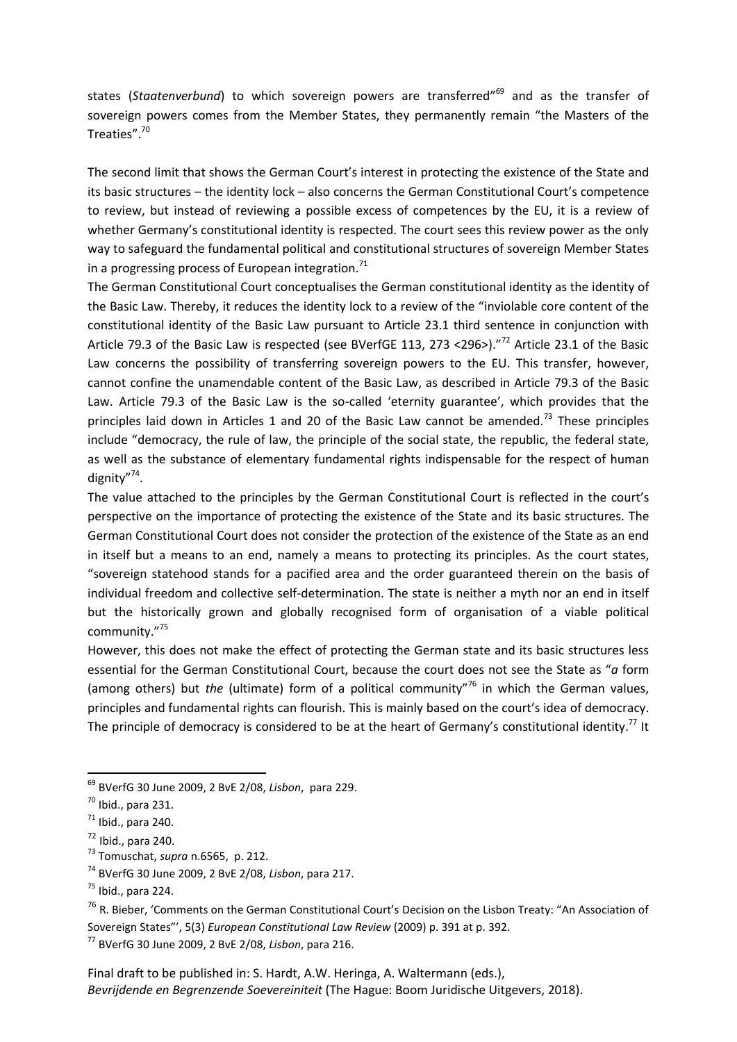states (*Staatenverbund*) to which sovereign powers are transferred<sup>"69</sup> and as the transfer of sovereign powers comes from the Member States, they permanently remain "the Masters of the Treaties".<sup>70</sup>

The second limit that shows the German Court's interest in protecting the existence of the State and its basic structures – the identity lock – also concerns the German Constitutional Court's competence to review, but instead of reviewing a possible excess of competences by the EU, it is a review of whether Germany's constitutional identity is respected. The court sees this review power as the only way to safeguard the fundamental political and constitutional structures of sovereign Member States in a progressing process of European integration.<sup>71</sup>

The German Constitutional Court conceptualises the German constitutional identity as the identity of the Basic Law. Thereby, it reduces the identity lock to a review of the "inviolable core content of the constitutional identity of the Basic Law pursuant to Article 23.1 third sentence in conjunction with Article 79.3 of the Basic Law is respected (see BVerfGE 113, 273 <296>)."<sup>72</sup> Article 23.1 of the Basic Law concerns the possibility of transferring sovereign powers to the EU. This transfer, however, cannot confine the unamendable content of the Basic Law, as described in Article 79.3 of the Basic Law. Article 79.3 of the Basic Law is the so-called 'eternity guarantee', which provides that the principles laid down in Articles 1 and 20 of the Basic Law cannot be amended.<sup>73</sup> These principles include "democracy, the rule of law, the principle of the social state, the republic, the federal state, as well as the substance of elementary fundamental rights indispensable for the respect of human dignity"<sup>74</sup>.

The value attached to the principles by the German Constitutional Court is reflected in the court's perspective on the importance of protecting the existence of the State and its basic structures. The German Constitutional Court does not consider the protection of the existence of the State as an end in itself but a means to an end, namely a means to protecting its principles. As the court states, "sovereign statehood stands for a pacified area and the order guaranteed therein on the basis of individual freedom and collective self-determination. The state is neither a myth nor an end in itself but the historically grown and globally recognised form of organisation of a viable political community."<sup>75</sup>

However, this does not make the effect of protecting the German state and its basic structures less essential for the German Constitutional Court, because the court does not see the State as "*a* form (among others) but *the* (ultimate) form of a political community"<sup>76</sup> in which the German values, principles and fundamental rights can flourish. This is mainly based on the court's idea of democracy. The principle of democracy is considered to be at the heart of Germany's constitutional identity.<sup>77</sup> It

 $\overline{a}$ 

<sup>69</sup> BVerfG 30 June 2009, 2 BvE 2/08, *Lisbon*, para 229.

 $70$  Ibid., para 231.

 $71$  Ibid., para 240.

 $<sup>72</sup>$  Ibid., para 240.</sup>

<sup>73</sup> Tomuschat, *supra* n[.6565,](#page-12-0) p. 212.

<sup>74</sup> BVerfG 30 June 2009, 2 BvE 2/08, *Lisbon*, para 217.

 $<sup>75</sup>$  Ibid., para 224.</sup>

<sup>&</sup>lt;sup>76</sup> R. Bieber, 'Comments on the German Constitutional Court's Decision on the Lisbon Treaty: "An Association of Sovereign States"', 5(3) *European Constitutional Law Review* (2009) p. 391 at p. 392.

<sup>77</sup> BVerfG 30 June 2009, 2 BvE 2/08, *Lisbon*, para 216.

Final draft to be published in: S. Hardt, A.W. Heringa, A. Waltermann (eds.), *Bevrijdende en Begrenzende Soevereiniteit* (The Hague: Boom Juridische Uitgevers, 2018).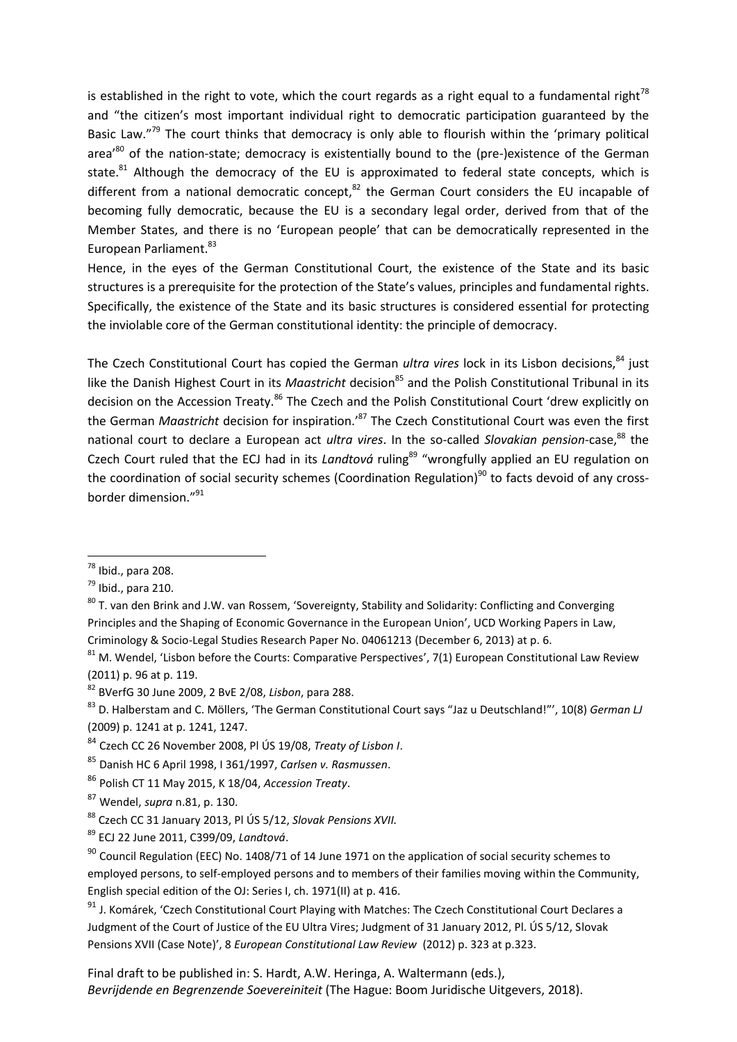<span id="page-14-1"></span>is established in the right to vote, which the court regards as a right equal to a fundamental right<sup>78</sup> and "the citizen's most important individual right to democratic participation guaranteed by the Basic Law."<sup>79</sup> The court thinks that democracy is only able to flourish within the 'primary political area<sup>'80</sup> of the nation-state; democracy is existentially bound to the (pre-)existence of the German state. $81$  Although the democracy of the EU is approximated to federal state concepts, which is different from a national democratic concept, $^{82}$  the German Court considers the EU incapable of becoming fully democratic, because the EU is a secondary legal order, derived from that of the Member States, and there is no 'European people' that can be democratically represented in the European Parliament.<sup>83</sup>

<span id="page-14-2"></span>Hence, in the eyes of the German Constitutional Court, the existence of the State and its basic structures is a prerequisite for the protection of the State's values, principles and fundamental rights. Specifically, the existence of the State and its basic structures is considered essential for protecting the inviolable core of the German constitutional identity: the principle of democracy.

<span id="page-14-0"></span>The Czech Constitutional Court has copied the German *ultra vires* lock in its Lisbon decisions,<sup>84</sup> just like the Danish Highest Court in its *Maastricht* decision<sup>85</sup> and the Polish Constitutional Tribunal in its decision on the Accession Treaty.<sup>86</sup> The Czech and the Polish Constitutional Court 'drew explicitly on the German *Maastricht* decision for inspiration.'<sup>87</sup> The Czech Constitutional Court was even the first national court to declare a European act *ultra vires*. In the so-called *Slovakian pension-case*,<sup>88</sup> the Czech Court ruled that the ECJ had in its *Landtová* ruling<sup>89</sup> "wrongfully applied an EU regulation on the coordination of social security schemes (Coordination Regulation)<sup>90</sup> to facts devoid of any crossborder dimension."<sup>91</sup>

**.** 

<sup>85</sup> Danish HC 6 April 1998, I 361/1997, *Carlsen v. Rasmussen*.

 $^{78}$  Ibid., para 208.

 $^{79}$  Ibid., para 210.

<sup>&</sup>lt;sup>80</sup> T. van den Brink and J.W. van Rossem, 'Sovereignty, Stability and Solidarity: Conflicting and Converging Principles and the Shaping of Economic Governance in the European Union', [UCD Working Papers in Law,](https://papers.ssrn.com/sol3/papers.cfm?abstract_id=2439184##)  [Criminology & Socio-Legal Studies Research Paper No. 04061213](https://papers.ssrn.com/sol3/papers.cfm?abstract_id=2439184##) (December 6, 2013) at p. 6.

 $81$  M. Wendel, 'Lisbon before the Courts: Comparative Perspectives', 7(1) European Constitutional Law Review (2011) p. 96 at p. 119.

<sup>82</sup> BVerfG 30 June 2009, 2 BvE 2/08, *Lisbon*, para 288.

<sup>83</sup> D. Halberstam and C. Möllers, 'The German Constitutional Court says "Jaz u Deutschland!"', 10(8) *German LJ* (2009) p. 1241 at p. 1241, 1247.

<sup>84</sup> Czech CC 26 November 2008, Pl ÚS 19/08, *Treaty of Lisbon I*.

<sup>86</sup> Polish CT 11 May 2015, K 18/04, *Accession Treaty*.

<sup>87</sup> Wendel, *supra* n[.81,](#page-14-1) p. 130.

<sup>88</sup> Czech CC 31 January 2013, Pl ÚS 5/12, *Slovak Pensions XVII.*

<sup>89</sup> ECJ 22 June 2011, C399/09, *Landtová*.

 $90$  Council Regulation (EEC) No. 1408/71 of 14 June 1971 on the application of social security schemes to employed persons, to self-employed persons and to members of their families moving within the Community, English special edition of the OJ: Series I, ch. 1971(II) at p. 416.

<sup>&</sup>lt;sup>91</sup> J. Komárek, 'Czech Constitutional Court Playing with Matches: The Czech Constitutional Court Declares a Judgment of the Court of Justice of the EU Ultra Vires; Judgment of 31 January 2012, Pl. ÚS 5/12, Slovak Pensions XVII (Case Note)', 8 *European Constitutional Law Review* (2012) p. 323 at p.323.

Final draft to be published in: S. Hardt, A.W. Heringa, A. Waltermann (eds.), *Bevrijdende en Begrenzende Soevereiniteit* (The Hague: Boom Juridische Uitgevers, 2018).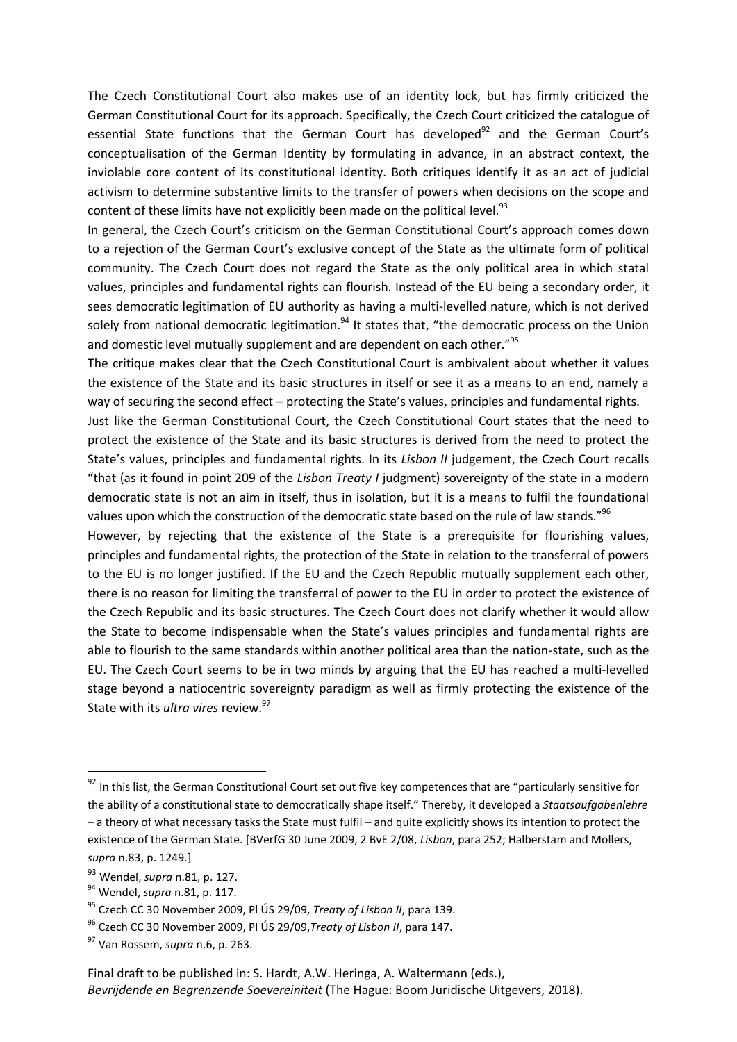The Czech Constitutional Court also makes use of an identity lock, but has firmly criticized the German Constitutional Court for its approach. Specifically, the Czech Court criticized the catalogue of essential State functions that the German Court has developed $92$  and the German Court's conceptualisation of the German Identity by formulating in advance, in an abstract context, the inviolable core content of its constitutional identity. Both critiques identify it as an act of judicial activism to determine substantive limits to the transfer of powers when decisions on the scope and content of these limits have not explicitly been made on the political level.<sup>93</sup>

In general, the Czech Court's criticism on the German Constitutional Court's approach comes down to a rejection of the German Court's exclusive concept of the State as the ultimate form of political community. The Czech Court does not regard the State as the only political area in which statal values, principles and fundamental rights can flourish. Instead of the EU being a secondary order, it sees democratic legitimation of EU authority as having a multi-levelled nature, which is not derived solely from national democratic legitimation.<sup>94</sup> It states that, "the democratic process on the Union and domestic level mutually supplement and are dependent on each other."<sup>95</sup>

The critique makes clear that the Czech Constitutional Court is ambivalent about whether it values the existence of the State and its basic structures in itself or see it as a means to an end, namely a way of securing the second effect – protecting the State's values, principles and fundamental rights.

Just like the German Constitutional Court, the Czech Constitutional Court states that the need to protect the existence of the State and its basic structures is derived from the need to protect the State's values, principles and fundamental rights. In its *Lisbon II* judgement, the Czech Court recalls "that (as it found in point 209 of the *Lisbon Treaty I* judgment) sovereignty of the state in a modern democratic state is not an aim in itself, thus in isolation, but it is a means to fulfil the foundational values upon which the construction of the democratic state based on the rule of law stands."<sup>96</sup>

However, by rejecting that the existence of the State is a prerequisite for flourishing values, principles and fundamental rights, the protection of the State in relation to the transferral of powers to the EU is no longer justified. If the EU and the Czech Republic mutually supplement each other, there is no reason for limiting the transferral of power to the EU in order to protect the existence of the Czech Republic and its basic structures. The Czech Court does not clarify whether it would allow the State to become indispensable when the State's values principles and fundamental rights are able to flourish to the same standards within another political area than the nation-state, such as the EU. The Czech Court seems to be in two minds by arguing that the EU has reached a multi-levelled stage beyond a natiocentric sovereignty paradigm as well as firmly protecting the existence of the State with its *ultra vires* review.<sup>97</sup>

<sup>&</sup>lt;sup>92</sup> In this list, the German Constitutional Court set out five key competences that are "particularly sensitive for the ability of a constitutional state to democratically shape itself." Thereby, it developed a *Staatsaufgabenlehre* – a theory of what necessary tasks the State must fulfil – and quite explicitly shows its intention to protect the existence of the German State. [BVerfG 30 June 2009, 2 BvE 2/08, *Lisbon*, para 252; Halberstam and Möllers, *supra* [n.83](#page-14-2), p. 1249.]

<sup>93</sup> Wendel, *supra* n[.81,](#page-14-1) p. 127.

<sup>94</sup> Wendel, *supra* n[.81,](#page-14-1) p. 117.

<sup>95</sup> Czech CC 30 November 2009, Pl ÚS 29/09, *Treaty of Lisbon II*, para 139.

<sup>96</sup> Czech CC 30 November 2009, Pl ÚS 29/09,*Treaty of Lisbon II*, para 147.

<sup>97</sup> Van Rossem, *supra* n[.6,](#page-2-1) p. 263.

Final draft to be published in: S. Hardt, A.W. Heringa, A. Waltermann (eds.), *Bevrijdende en Begrenzende Soevereiniteit* (The Hague: Boom Juridische Uitgevers, 2018).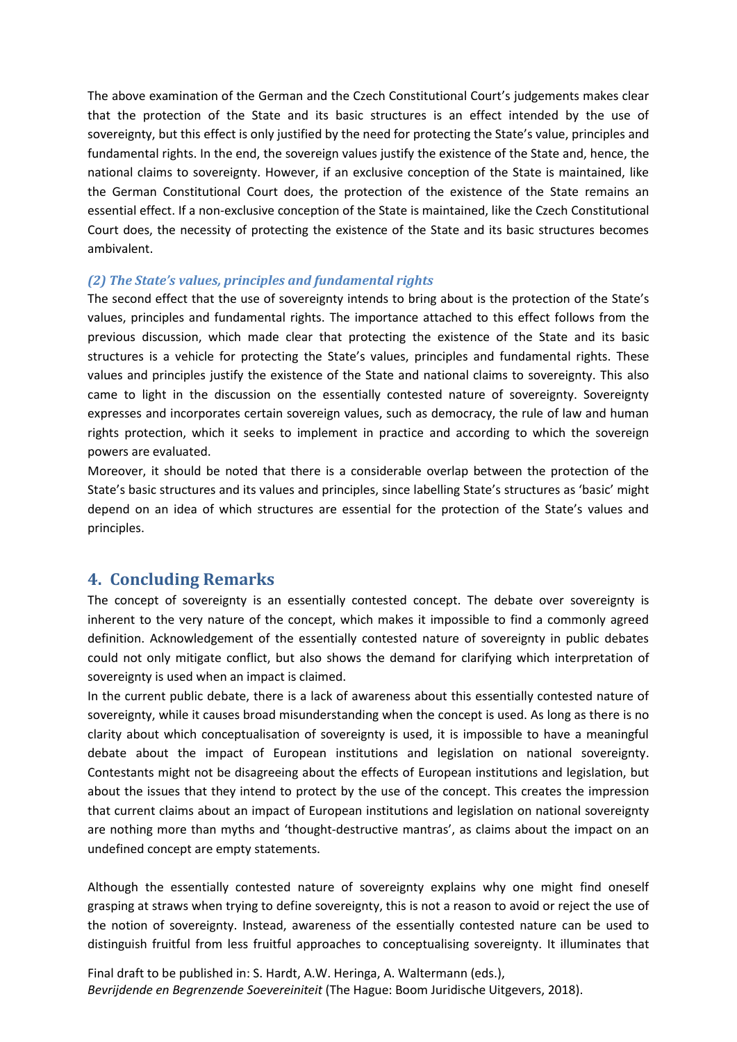The above examination of the German and the Czech Constitutional Court's judgements makes clear that the protection of the State and its basic structures is an effect intended by the use of sovereignty, but this effect is only justified by the need for protecting the State's value, principles and fundamental rights. In the end, the sovereign values justify the existence of the State and, hence, the national claims to sovereignty. However, if an exclusive conception of the State is maintained, like the German Constitutional Court does, the protection of the existence of the State remains an essential effect. If a non-exclusive conception of the State is maintained, like the Czech Constitutional Court does, the necessity of protecting the existence of the State and its basic structures becomes ambivalent.

#### *(2) The State's values, principles and fundamental rights*

The second effect that the use of sovereignty intends to bring about is the protection of the State's values, principles and fundamental rights. The importance attached to this effect follows from the previous discussion, which made clear that protecting the existence of the State and its basic structures is a vehicle for protecting the State's values, principles and fundamental rights. These values and principles justify the existence of the State and national claims to sovereignty. This also came to light in the discussion on the essentially contested nature of sovereignty. Sovereignty expresses and incorporates certain sovereign values, such as democracy, the rule of law and human rights protection, which it seeks to implement in practice and according to which the sovereign powers are evaluated.

Moreover, it should be noted that there is a considerable overlap between the protection of the State's basic structures and its values and principles, since labelling State's structures as 'basic' might depend on an idea of which structures are essential for the protection of the State's values and principles.

## **4. Concluding Remarks**

The concept of sovereignty is an essentially contested concept. The debate over sovereignty is inherent to the very nature of the concept, which makes it impossible to find a commonly agreed definition. Acknowledgement of the essentially contested nature of sovereignty in public debates could not only mitigate conflict, but also shows the demand for clarifying which interpretation of sovereignty is used when an impact is claimed.

In the current public debate, there is a lack of awareness about this essentially contested nature of sovereignty, while it causes broad misunderstanding when the concept is used. As long as there is no clarity about which conceptualisation of sovereignty is used, it is impossible to have a meaningful debate about the impact of European institutions and legislation on national sovereignty. Contestants might not be disagreeing about the effects of European institutions and legislation, but about the issues that they intend to protect by the use of the concept. This creates the impression that current claims about an impact of European institutions and legislation on national sovereignty are nothing more than myths and 'thought-destructive mantras', as claims about the impact on an undefined concept are empty statements.

Although the essentially contested nature of sovereignty explains why one might find oneself grasping at straws when trying to define sovereignty, this is not a reason to avoid or reject the use of the notion of sovereignty. Instead, awareness of the essentially contested nature can be used to distinguish fruitful from less fruitful approaches to conceptualising sovereignty. It illuminates that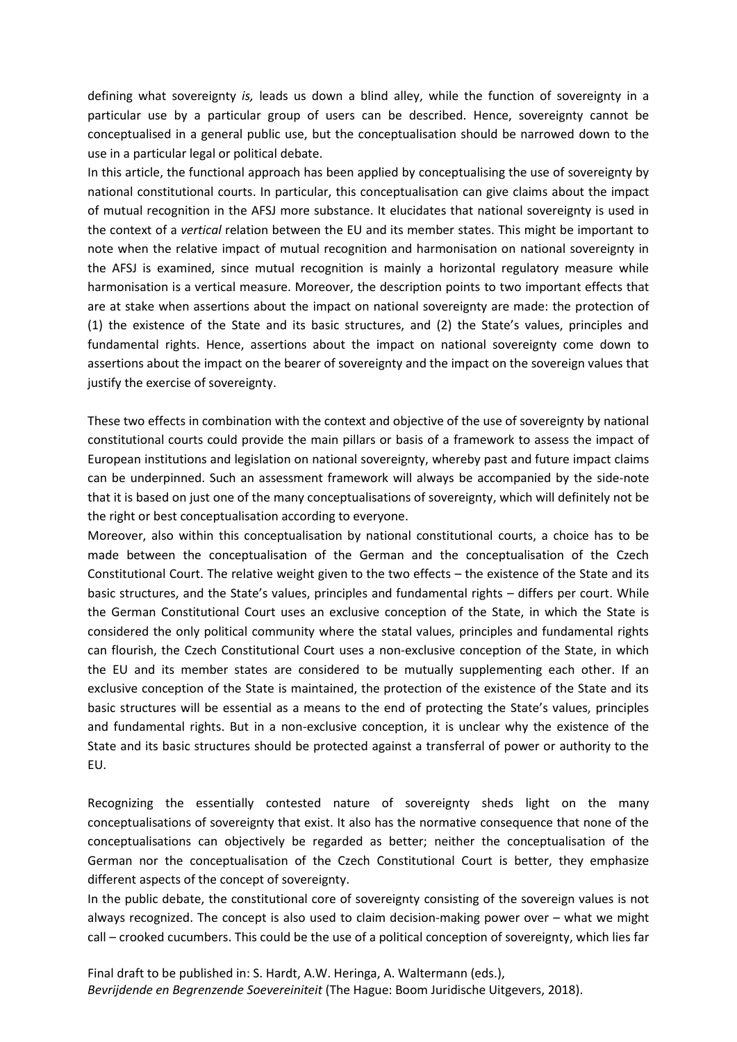defining what sovereignty *is,* leads us down a blind alley, while the function of sovereignty in a particular use by a particular group of users can be described. Hence, sovereignty cannot be conceptualised in a general public use, but the conceptualisation should be narrowed down to the use in a particular legal or political debate.

In this article, the functional approach has been applied by conceptualising the use of sovereignty by national constitutional courts. In particular, this conceptualisation can give claims about the impact of mutual recognition in the AFSJ more substance. It elucidates that national sovereignty is used in the context of a *vertical* relation between the EU and its member states. This might be important to note when the relative impact of mutual recognition and harmonisation on national sovereignty in the AFSJ is examined, since mutual recognition is mainly a horizontal regulatory measure while harmonisation is a vertical measure. Moreover, the description points to two important effects that are at stake when assertions about the impact on national sovereignty are made: the protection of (1) the existence of the State and its basic structures, and (2) the State's values, principles and fundamental rights. Hence, assertions about the impact on national sovereignty come down to assertions about the impact on the bearer of sovereignty and the impact on the sovereign values that justify the exercise of sovereignty.

These two effects in combination with the context and objective of the use of sovereignty by national constitutional courts could provide the main pillars or basis of a framework to assess the impact of European institutions and legislation on national sovereignty, whereby past and future impact claims can be underpinned. Such an assessment framework will always be accompanied by the side-note that it is based on just one of the many conceptualisations of sovereignty, which will definitely not be the right or best conceptualisation according to everyone.

Moreover, also within this conceptualisation by national constitutional courts, a choice has to be made between the conceptualisation of the German and the conceptualisation of the Czech Constitutional Court. The relative weight given to the two effects – the existence of the State and its basic structures, and the State's values, principles and fundamental rights – differs per court. While the German Constitutional Court uses an exclusive conception of the State, in which the State is considered the only political community where the statal values, principles and fundamental rights can flourish, the Czech Constitutional Court uses a non-exclusive conception of the State, in which the EU and its member states are considered to be mutually supplementing each other. If an exclusive conception of the State is maintained, the protection of the existence of the State and its basic structures will be essential as a means to the end of protecting the State's values, principles and fundamental rights. But in a non-exclusive conception, it is unclear why the existence of the State and its basic structures should be protected against a transferral of power or authority to the EU.

Recognizing the essentially contested nature of sovereignty sheds light on the many conceptualisations of sovereignty that exist. It also has the normative consequence that none of the conceptualisations can objectively be regarded as better; neither the conceptualisation of the German nor the conceptualisation of the Czech Constitutional Court is better, they emphasize different aspects of the concept of sovereignty.

In the public debate, the constitutional core of sovereignty consisting of the sovereign values is not always recognized. The concept is also used to claim decision-making power over – what we might call – crooked cucumbers. This could be the use of a political conception of sovereignty, which lies far